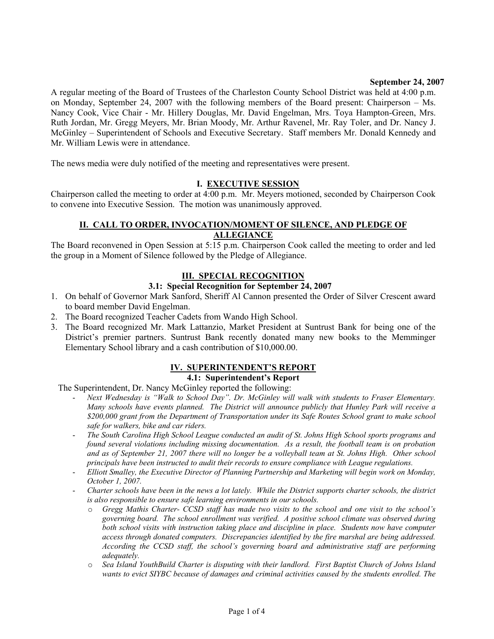### **September 24, 2007**

A regular meeting of the Board of Trustees of the Charleston County School District was held at 4:00 p.m. on Monday, September 24, 2007 with the following members of the Board present: Chairperson – Ms. Nancy Cook, Vice Chair - Mr. Hillery Douglas, Mr. David Engelman, Mrs. Toya Hampton-Green, Mrs. Ruth Jordan, Mr. Gregg Meyers, Mr. Brian Moody, Mr. Arthur Ravenel, Mr. Ray Toler, and Dr. Nancy J. McGinley – Superintendent of Schools and Executive Secretary. Staff members Mr. Donald Kennedy and Mr. William Lewis were in attendance.

The news media were duly notified of the meeting and representatives were present.

### **I. EXECUTIVE SESSION**

Chairperson called the meeting to order at 4:00 p.m. Mr. Meyers motioned, seconded by Chairperson Cook to convene into Executive Session. The motion was unanimously approved.

### **II. CALL TO ORDER, INVOCATION/MOMENT OF SILENCE, AND PLEDGE OF ALLEGIANCE**

The Board reconvened in Open Session at 5:15 p.m. Chairperson Cook called the meeting to order and led the group in a Moment of Silence followed by the Pledge of Allegiance.

### **III. SPECIAL RECOGNITION**

### **3.1: Special Recognition for September 24, 2007**

- 1. On behalf of Governor Mark Sanford, Sheriff Al Cannon presented the Order of Silver Crescent award to board member David Engelman.
- 2. The Board recognized Teacher Cadets from Wando High School.
- 3. The Board recognized Mr. Mark Lattanzio, Market President at Suntrust Bank for being one of the District's premier partners. Suntrust Bank recently donated many new books to the Memminger Elementary School library and a cash contribution of \$10,000.00.

### **IV. SUPERINTENDENT'S REPORT**

### **4.1: Superintendent's Report**

The Superintendent, Dr. Nancy McGinley reported the following:

- *Next Wednesday is "Walk to School Day". Dr. McGinley will walk with students to Fraser Elementary. Many schools have events planned. The District will announce publicly that Hunley Park will receive a \$200,000 grant from the Department of Transportation under its Safe Routes School grant to make school safe for walkers, bike and car riders.*
- *The South Carolina High School League conducted an audit of St. Johns High School sports programs and found several violations including missing documentation. As a result, the football team is on probation and as of September 21, 2007 there will no longer be a volleyball team at St. Johns High. Other school principals have been instructed to audit their records to ensure compliance with League regulations.*
- *Elliott Smalley, the Executive Director of Planning Partnership and Marketing will begin work on Monday, October 1, 2007.*
- *Charter schools have been in the news a lot lately. While the District supports charter schools, the district is also responsible to ensure safe learning environments in our schools.* 
	- o *Gregg Mathis Charter- CCSD staff has made two visits to the school and one visit to the school's governing board. The school enrollment was verified. A positive school climate was observed during both school visits with instruction taking place and discipline in place. Students now have computer access through donated computers. Discrepancies identified by the fire marshal are being addressed. According the CCSD staff, the school's governing board and administrative staff are performing adequately.*
	- o *Sea Island YouthBuild Charter is disputing with their landlord. First Baptist Church of Johns Island wants to evict SIYBC because of damages and criminal activities caused by the students enrolled. The*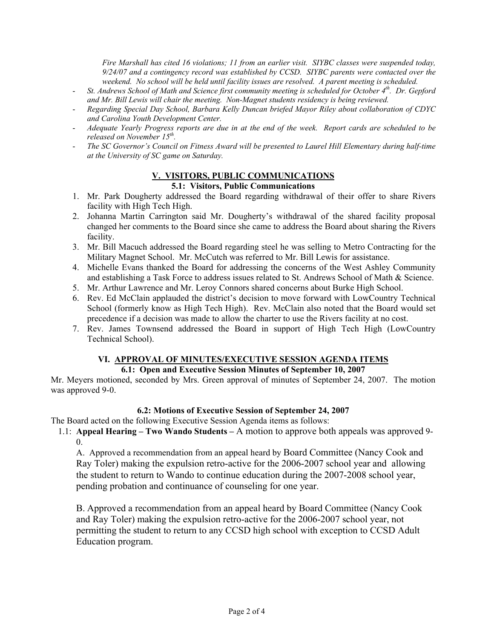*Fire Marshall has cited 16 violations; 11 from an earlier visit. SIYBC classes were suspended today, 9/24/07 and a contingency record was established by CCSD. SIYBC parents were contacted over the weekend. No school will be held until facility issues are resolved. A parent meeting is scheduled.* 

- *St. Andrews School of Math and Science first community meeting is scheduled for October 4th. Dr. Gepford and Mr. Bill Lewis will chair the meeting. Non-Magnet students residency is being reviewed.*
- *Regarding Special Day School, Barbara Kelly Duncan briefed Mayor Riley about collaboration of CDYC and Carolina Youth Development Center.*
- *Adequate Yearly Progress reports are due in at the end of the week. Report cards are scheduled to be released on November 15th.*
- *The SC Governor's Council on Fitness Award will be presented to Laurel Hill Elementary during half-time at the University of SC game on Saturday.*

# **V. VISITORS, PUBLIC COMMUNICATIONS**

### **5.1: Visitors, Public Communications**

- 1. Mr. Park Dougherty addressed the Board regarding withdrawal of their offer to share Rivers facility with High Tech High.
- 2. Johanna Martin Carrington said Mr. Dougherty's withdrawal of the shared facility proposal changed her comments to the Board since she came to address the Board about sharing the Rivers facility.
- 3. Mr. Bill Macuch addressed the Board regarding steel he was selling to Metro Contracting for the Military Magnet School. Mr. McCutch was referred to Mr. Bill Lewis for assistance.
- 4. Michelle Evans thanked the Board for addressing the concerns of the West Ashley Community and establishing a Task Force to address issues related to St. Andrews School of Math & Science.
- 5. Mr. Arthur Lawrence and Mr. Leroy Connors shared concerns about Burke High School.
- 6. Rev. Ed McClain applauded the district's decision to move forward with LowCountry Technical School (formerly know as High Tech High). Rev. McClain also noted that the Board would set precedence if a decision was made to allow the charter to use the Rivers facility at no cost.
- 7. Rev. James Townsend addressed the Board in support of High Tech High (LowCountry Technical School).

# **VI. APPROVAL OF MINUTES/EXECUTIVE SESSION AGENDA ITEMS**

# **6.1: Open and Executive Session Minutes of September 10, 2007**

Mr. Meyers motioned, seconded by Mrs. Green approval of minutes of September 24, 2007. The motion was approved 9-0.

# **6.2: Motions of Executive Session of September 24, 2007**

The Board acted on the following Executive Session Agenda items as follows:

1.1: **Appeal Hearing – Two Wando Students –** A motion to approve both appeals was approved 9-  $\theta$ 

A. Approved a recommendation from an appeal heard by Board Committee (Nancy Cook and Ray Toler) making the expulsion retro-active for the 2006-2007 school year and allowing the student to return to Wando to continue education during the 2007-2008 school year, pending probation and continuance of counseling for one year.

B. Approved a recommendation from an appeal heard by Board Committee (Nancy Cook and Ray Toler) making the expulsion retro-active for the 2006-2007 school year, not permitting the student to return to any CCSD high school with exception to CCSD Adult Education program.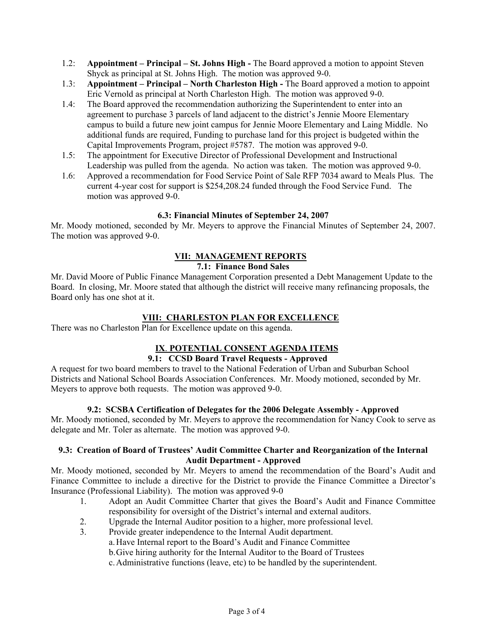- 1.2: **Appointment Principal St. Johns High** The Board approved a motion to appoint Steven Shyck as principal at St. Johns High. The motion was approved 9-0.
- 1.3: **Appointment Principal North Charleston High** The Board approved a motion to appoint Eric Vernold as principal at North Charleston High. The motion was approved 9-0.
- 1.4: The Board approved the recommendation authorizing the Superintendent to enter into an agreement to purchase 3 parcels of land adjacent to the district's Jennie Moore Elementary campus to build a future new joint campus for Jennie Moore Elementary and Laing Middle. No additional funds are required, Funding to purchase land for this project is budgeted within the Capital Improvements Program, project #5787. The motion was approved 9-0.
- 1.5: The appointment for Executive Director of Professional Development and Instructional Leadership was pulled from the agenda. No action was taken. The motion was approved 9-0.
- 1.6: Approved a recommendation for Food Service Point of Sale RFP 7034 award to Meals Plus. The current 4-year cost for support is \$254,208.24 funded through the Food Service Fund. The motion was approved 9-0.

### **6.3: Financial Minutes of September 24, 2007**

Mr. Moody motioned, seconded by Mr. Meyers to approve the Financial Minutes of September 24, 2007. The motion was approved 9-0.

# **VII: MANAGEMENT REPORTS**

# **7.1: Finance Bond Sales**

Mr. David Moore of Public Finance Management Corporation presented a Debt Management Update to the Board. In closing, Mr. Moore stated that although the district will receive many refinancing proposals, the Board only has one shot at it.

## **VIII: CHARLESTON PLAN FOR EXCELLENCE**

There was no Charleston Plan for Excellence update on this agenda.

# **IX**. **POTENTIAL CONSENT AGENDA ITEMS**

# **9.1: CCSD Board Travel Requests - Approved**

A request for two board members to travel to the National Federation of Urban and Suburban School Districts and National School Boards Association Conferences. Mr. Moody motioned, seconded by Mr. Meyers to approve both requests. The motion was approved 9-0.

### **9.2: SCSBA Certification of Delegates for the 2006 Delegate Assembly - Approved**

Mr. Moody motioned, seconded by Mr. Meyers to approve the recommendation for Nancy Cook to serve as delegate and Mr. Toler as alternate. The motion was approved 9-0.

### **9.3: Creation of Board of Trustees' Audit Committee Charter and Reorganization of the Internal Audit Department - Approved**

Mr. Moody motioned, seconded by Mr. Meyers to amend the recommendation of the Board's Audit and Finance Committee to include a directive for the District to provide the Finance Committee a Director's Insurance (Professional Liability). The motion was approved 9-0

- 1. Adopt an Audit Committee Charter that gives the Board's Audit and Finance Committee responsibility for oversight of the District's internal and external auditors.
- 2. Upgrade the Internal Auditor position to a higher, more professional level.
- 3. Provide greater independence to the Internal Audit department.
	- a.Have Internal report to the Board's Audit and Finance Committee

b.Give hiring authority for the Internal Auditor to the Board of Trustees

c.Administrative functions (leave, etc) to be handled by the superintendent.